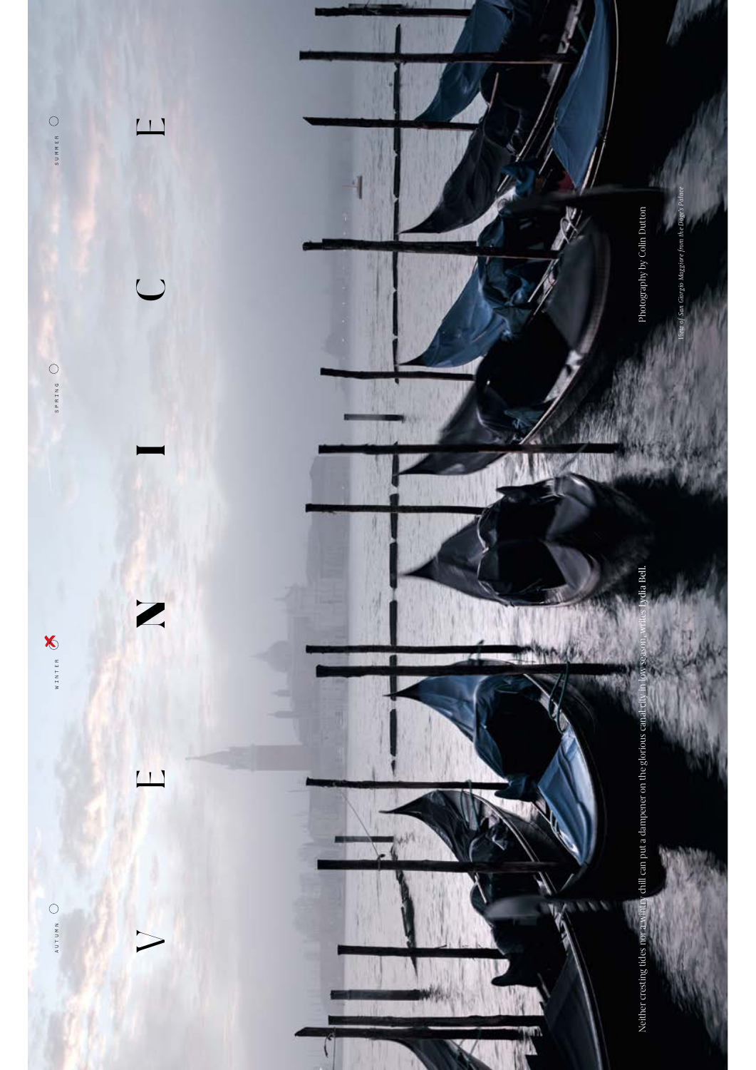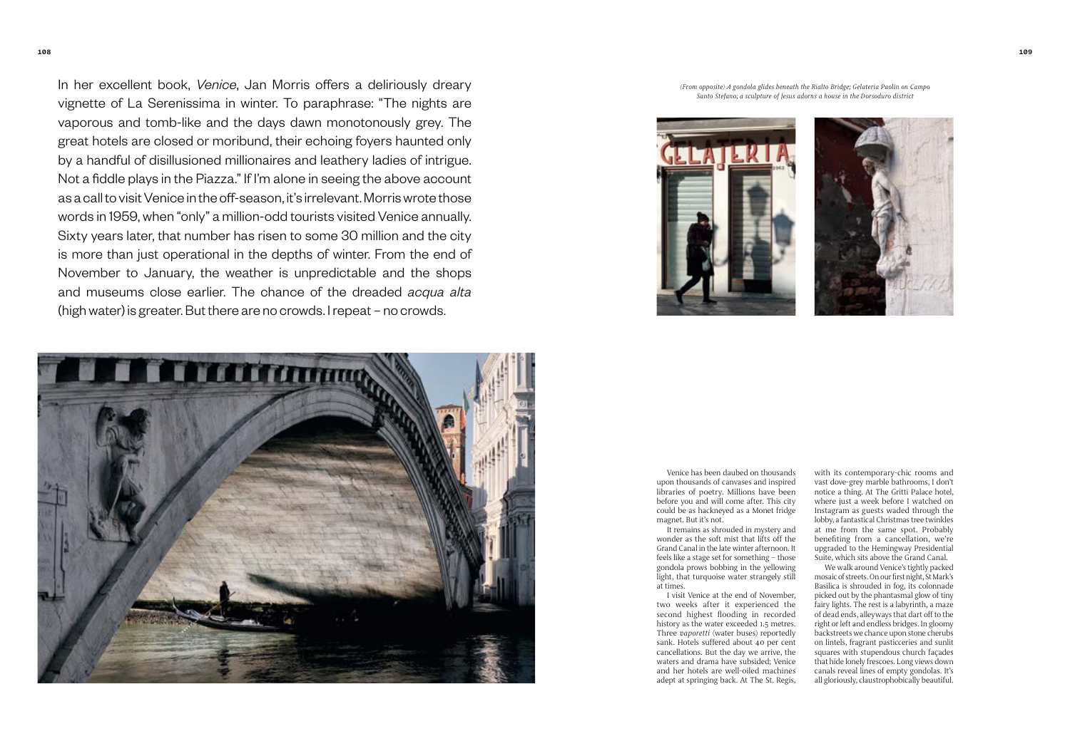In her excellent book, *Venice*, Jan Morris offers a deliriously dreary vignette of La Serenissima in winter. To paraphrase: "The nights are vaporous and tomb-like and the days dawn monotonously grey. The great hotels are closed or moribund, their echoing foyers haunted only by a handful of disillusioned millionaires and leathery ladies of intrigue. Not a fiddle plays in the Piazza." If I'm alone in seeing the above account as a call to visit Venice in the off-season, it's irrelevant. Morris wrote those words in 1959, when "only" a million-odd tourists visited Venice annually. Sixty years later, that number has risen to some 30 million and the city is more than just operational in the depths of winter. From the end of November to January, the weather is unpredictable and the shops and museums close earlier. The chance of the dreaded *acqua alta* (high water) is greater. But there are no crowds. I repeat – no crowds.



*(From opposite) A gondola glides beneath the Rialto Bridge; Gelateria Paolin on Campo Santo Stefano; a sculpture of Jesus adorns a house in the Dorsoduro district*



Venice has been daubed on thousand<sup>s</sup> <sup>u</sup>pon thousands of canvases and inspired libraries of poetry. Millions have been before yo<sup>u</sup> <sup>a</sup>nd will come after. This city could be as hackneyed <sup>a</sup>s a Monet fridge <sup>m</sup>agnet. But it's not.

It remains as shrouded in mystery and wonder as the soft mist that lifts off the Grand Canal in the late winter afternoon. It feels like a stage set for something – those gondola prows bobbing in the yellowing light, that turquoise water strangely still at times.

I visit Venice at the end of November, two weeks after it experienced the second highest flooding in recorded history as the water exceeded <sup>1</sup>.5 metres. Three *vaporetti* (water buses) reportedly sank. Hotels suffered about 40 per cent <sup>c</sup>ancellations. But the day we arrive, the <sup>w</sup>aters and drama have subsided; Venice <sup>a</sup>nd her hotels are well-oiled machines adept at springing back. At The St. Regis,

with its contemporary-chic rooms and <sup>v</sup>ast dove-grey marble bathrooms, I don't notice a thing. At The Gritti Palace hotel, where just a week before I watched on Instagram as guests waded through the lobby, a fantastical Christmas tree twinkles at me from the same spot. Probably benefiting from a cancellation, we're <sup>u</sup>pgraded to the Hemingw<sup>a</sup>y Presidential Suite, which sits above the Grand Canal.

We walk arou<sup>n</sup>d Venice's tightly packed mosaic of streets. On our first night, St Mark's <sup>B</sup>asilica is shrouded in fog, its colonnad<sup>e</sup> picked out by the phantasmal glow of tiny fairy lights. The rest is a labyrinth, a maze of dead ends, alleyways that dart off to the right or left and endless bridges. In gloomy backstreets we chance upon stone cherubs on lintels, fragrant pasticceries and sunlit squares with stupend<sup>o</sup>us church façades that hide lonely frescoes. Long views down <sup>c</sup>anals reveal lines of empty gondolas. It's <sup>a</sup>ll gloriously, claustrophobically beautiful.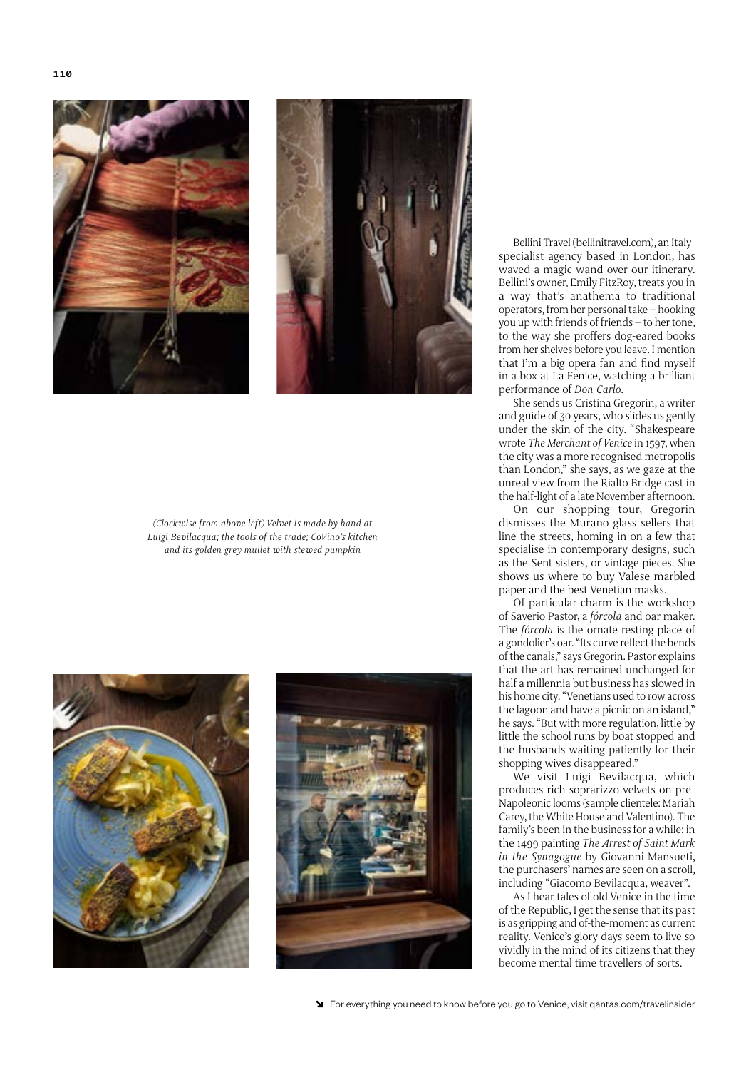



*(Clockwise from above left) Velvet is made by hand at Luigi Bevilacqua; the tools of the trade; CoVino's kitchen and its golden grey mullet with stewed pumpkin*





Bellini Travel (bellinitravel.com), an Italyspecialist agency based in London, has waved a magic wand over our itinerary. Bellini's owner, Emily FitzRoy, treats you in a way that's anathema to traditional operators, from her personal take – hooking you up with friends of friends – to her tone, to the way she proffers dog-eared books from her shelves before you leave. I mention that I'm a big opera fan and find myself in a box at La Fenice, watching a brilliant performance of *Don Carlo*.

She sends us Cristina Gregorin, a writer and guide of 30 years, who slides us gently under the skin of the city. "Shakespeare wrote *The Merchant of Venice* in 1597, when the city was a more recognised metropolis than London," she says, as we gaze at the unreal view from the Rialto Bridge cast in the half-light of a late November afternoon.

On our shopping tour, Gregorin dismisses the Murano glass sellers that line the streets, homing in on a few that specialise in contemporary designs, such as the Sent sisters, or vintage pieces. She shows us where to buy Valese marbled paper and the best Venetian masks.

Of particular charm is the workshop of Saverio Pastor, a *fórcola* and oar maker. The *fórcola* is the ornate resting place of a gondolier's oar. "Its curve reflect the bends of the canals," says Gregorin. Pastor explains that the art has remained unchanged for half a millennia but business has slowed in his home city. "Venetians used to row across the lagoon and have a picnic on an island," he says. "But with more regulation, little by little the school runs by boat stopped and the husbands waiting patiently for their shopping wives disappeared."

We visit Luigi Bevilacqua, which produces rich soprarizzo velvets on pre-Napoleonic looms (sample clientele: Mariah Carey, the White House and Valentino). The family's been in the business for a while: in the 1499 painting *The Arrest of Saint Mark in the Synagogue* by Giovanni Mansueti, the purchasers' names are seen on a scroll, including "Giacomo Bevilacqua, weaver".

As I hear tales of old Venice in the time of the Republic, I get the sense that its past is as gripping and of-the-moment as current reality. Venice's glory days seem to live so vividly in the mind of its citizens that they become mental time travellers of sorts.